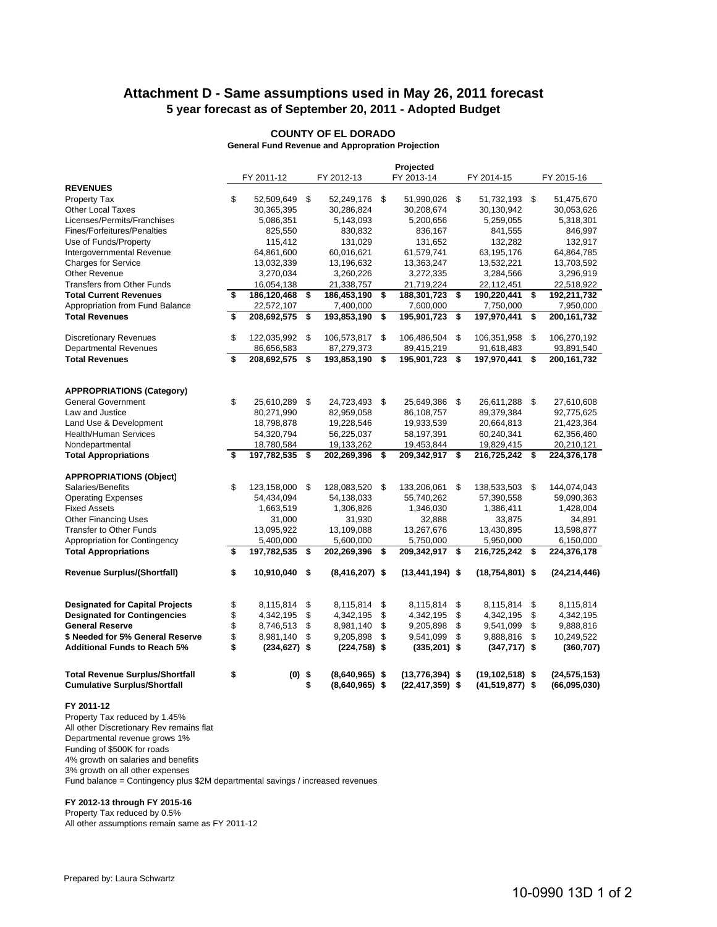# **Attachment D - Same assumptions used in May 26, 2011 forecast 5 year forecast as of September 20, 2011 - Adopted Budget**

### **COUNTY OF EL DORADO**

**General Fund Revenue and Appropration Projection**

|                                                                               | Projected |                 |    |                                      |     |                                          |    |                                          |      |                                |
|-------------------------------------------------------------------------------|-----------|-----------------|----|--------------------------------------|-----|------------------------------------------|----|------------------------------------------|------|--------------------------------|
|                                                                               |           | FY 2011-12      |    | FY 2012-13                           |     | FY 2013-14                               |    | FY 2014-15                               |      | FY 2015-16                     |
| <b>REVENUES</b>                                                               |           |                 |    |                                      |     |                                          |    |                                          |      |                                |
| Property Tax                                                                  | \$        | 52,509,649 \$   |    | 52,249,176 \$                        |     | 51,990,026 \$                            |    | 51,732,193 \$                            |      | 51,475,670                     |
| <b>Other Local Taxes</b>                                                      |           | 30,365,395      |    | 30,286,824                           |     | 30,208,674                               |    | 30,130,942                               |      | 30,053,626                     |
| Licenses/Permits/Franchises                                                   |           | 5,086,351       |    | 5,143,093                            |     | 5,200,656                                |    | 5,259,055                                |      | 5,318,301                      |
| Fines/Forfeitures/Penalties                                                   |           | 825,550         |    | 830,832                              |     | 836,167                                  |    | 841,555                                  |      | 846,997                        |
| Use of Funds/Property                                                         |           | 115,412         |    | 131,029                              |     | 131,652                                  |    | 132,282                                  |      | 132,917                        |
| Intergovernmental Revenue                                                     |           | 64,861,600      |    | 60,016,621                           |     | 61,579,741                               |    | 63,195,176                               |      | 64,864,785                     |
| Charges for Service                                                           |           | 13,032,339      |    | 13,196,632                           |     | 13,363,247                               |    | 13,532,221                               |      | 13,703,592                     |
| Other Revenue                                                                 |           | 3,270,034       |    | 3,260,226                            |     | 3,272,335                                |    | 3,284,566                                |      | 3,296,919                      |
| <b>Transfers from Other Funds</b>                                             |           | 16,054,138      |    | 21,338,757                           |     | 21,719,224                               |    | 22,112,451                               |      | 22,518,922                     |
| <b>Total Current Revenues</b>                                                 | \$        | 186,120,468     | \$ | 186,453,190                          | \$  | 188,301,723                              | \$ | 190,220,441                              | \$   | 192,211,732                    |
| Appropriation from Fund Balance                                               |           | 22,572,107      |    | 7,400,000                            |     | 7,600,000                                |    | 7,750,000                                |      | 7,950,000                      |
| <b>Total Revenues</b>                                                         | \$        | 208,692,575     | \$ | 193,853,190                          | \$  | 195,901,723                              | \$ | 197,970,441                              | \$   | 200, 161, 732                  |
|                                                                               |           |                 |    |                                      |     |                                          |    |                                          |      |                                |
| <b>Discretionary Revenues</b>                                                 | \$        | 122,035,992 \$  |    | 106,573,817                          | -\$ | 106,486,504                              | \$ | 106,351,958                              | \$   | 106,270,192                    |
| <b>Departmental Revenues</b>                                                  |           | 86,656,583      |    | 87,279,373                           |     | 89,415,219                               |    | 91,618,483                               |      | 93,891,540                     |
| <b>Total Revenues</b>                                                         | \$        | 208,692,575     | \$ | 193,853,190                          | \$  | 195,901,723                              | \$ | 197,970,441                              | \$   | 200, 161, 732                  |
|                                                                               |           |                 |    |                                      |     |                                          |    |                                          |      |                                |
|                                                                               |           |                 |    |                                      |     |                                          |    |                                          |      |                                |
| <b>APPROPRIATIONS (Category)</b>                                              |           |                 |    |                                      |     |                                          |    |                                          |      |                                |
| <b>General Government</b>                                                     | \$        | 25,610,289      | \$ | 24,723,493                           | \$  | 25,649,386                               | \$ | 26,611,288                               | \$   | 27,610,608                     |
| Law and Justice                                                               |           | 80,271,990      |    | 82,959,058                           |     | 86,108,757                               |    | 89,379,384                               |      | 92,775,625                     |
| Land Use & Development                                                        |           | 18,798,878      |    | 19,228,546                           |     | 19,933,539                               |    | 20,664,813                               |      | 21,423,364                     |
| <b>Health/Human Services</b>                                                  |           | 54,320,794      |    | 56,225,037                           |     | 58,197,391                               |    | 60,240,341                               |      | 62,356,460                     |
| Nondepartmental                                                               |           | 18,780,584      |    | 19,133,262                           |     | 19,453,844                               |    | 19,829,415                               |      | 20,210,121                     |
| <b>Total Appropriations</b>                                                   | \$        | 197,782,535 \$  |    | 202,269,396                          | \$  | 209,342,917                              | \$ | 216,725,242                              | \$   | 224,376,178                    |
| <b>APPROPRIATIONS (Object)</b>                                                |           |                 |    |                                      |     |                                          |    |                                          |      |                                |
| Salaries/Benefits                                                             | \$        | 123,158,000     | \$ | 128,083,520                          | -\$ | 133,206,061                              | \$ | 138,533,503                              | - \$ | 144,074,043                    |
| <b>Operating Expenses</b>                                                     |           | 54,434,094      |    | 54,138,033                           |     | 55,740,262                               |    | 57,390,558                               |      | 59,090,363                     |
| <b>Fixed Assets</b>                                                           |           | 1,663,519       |    | 1,306,826                            |     | 1,346,030                                |    | 1,386,411                                |      | 1,428,004                      |
| <b>Other Financing Uses</b>                                                   |           | 31,000          |    | 31,930                               |     | 32,888                                   |    | 33,875                                   |      | 34,891                         |
| Transfer to Other Funds                                                       |           | 13,095,922      |    | 13,109,088                           |     | 13,267,676                               |    | 13,430,895                               |      | 13,598,877                     |
| Appropriation for Contingency                                                 |           | 5,400,000       |    | 5,600,000                            |     | 5,750,000                                |    | 5,950,000                                |      | 6,150,000                      |
| <b>Total Appropriations</b>                                                   | \$        | 197,782,535     | \$ | 202,269,396                          | \$  | 209,342,917                              | \$ | 216,725,242                              | \$   | 224,376,178                    |
|                                                                               |           |                 |    |                                      |     |                                          |    |                                          |      |                                |
| Revenue Surplus/(Shortfall)                                                   | \$        | 10,910,040 \$   |    | $(8,416,207)$ \$                     |     | $(13,441,194)$ \$                        |    | $(18,754,801)$ \$                        |      | (24, 214, 446)                 |
|                                                                               |           |                 |    |                                      |     |                                          |    |                                          |      |                                |
| <b>Designated for Capital Projects</b>                                        | \$        | 8,115,814       | \$ | 8,115,814                            | \$  | 8,115,814                                | \$ | 8,115,814                                | \$   | 8,115,814                      |
| <b>Designated for Contingencies</b>                                           | \$        | 4,342,195       | \$ | 4,342,195                            | \$  | 4,342,195                                | \$ | 4,342,195                                | \$   | 4,342,195                      |
| <b>General Reserve</b>                                                        | \$        | 8,746,513       | \$ | 8,981,140                            | \$  | 9,205,898                                | \$ | 9,541,099                                | \$   | 9,888,816                      |
| \$ Needed for 5% General Reserve                                              | \$        | 8,981,140       | \$ | 9,205,898                            | \$  | 9,541,099                                | \$ | 9,888,816                                | \$   | 10,249,522                     |
| <b>Additional Funds to Reach 5%</b>                                           | \$        | $(234, 627)$ \$ |    | $(224, 758)$ \$                      |     | $(335,201)$ \$                           |    | $(347, 717)$ \$                          |      | (360, 707)                     |
| <b>Total Revenue Surplus/Shortfall</b><br><b>Cumulative Surplus/Shortfall</b> | \$        | $(0)$ \$        | \$ | $(8,640,965)$ \$<br>$(8,640,965)$ \$ |     | $(13,776,394)$ \$<br>$(22, 417, 359)$ \$ |    | $(19, 102, 518)$ \$<br>$(41,519,877)$ \$ |      | (24, 575, 153)<br>(66,095,030) |
| FY 2011-12                                                                    |           |                 |    |                                      |     |                                          |    |                                          |      |                                |

Property Tax reduced by 1.45% All other Discretionary Rev remains flat Departmental revenue grows 1% Funding of \$500K for roads 4% growth on salaries and benefits 3% growth on all other expenses

Fund balance = Contingency plus \$2M departmental savings / increased revenues

#### **FY 2012-13 through FY 2015-16**

Property Tax reduced by 0.5% All other assumptions remain same as FY 2011-12